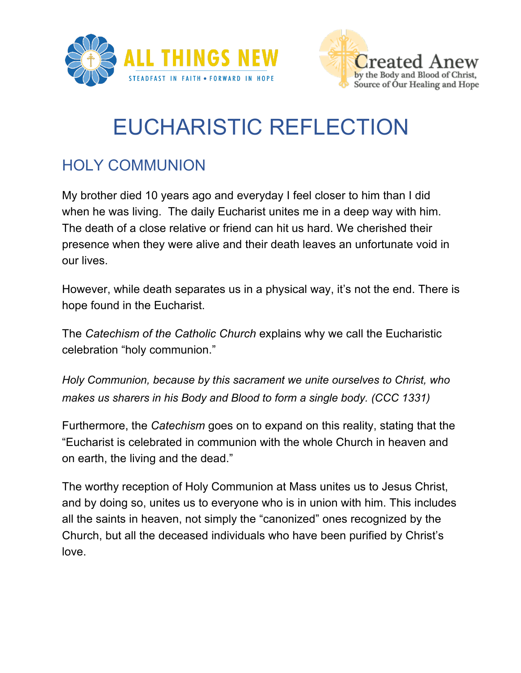



## EUCHARISTIC REFLECTION

## HOLY COMMUNION

My brother died 10 years ago and everyday I feel closer to him than I did when he was living. The daily Eucharist unites me in a deep way with him. The death of a close relative or friend can hit us hard. We cherished their presence when they were alive and their death leaves an unfortunate void in our lives.

However, while death separates us in a physical way, it's not the end. There is hope found in the Eucharist.

The *Catechism of the Catholic Church* explains why we call the Eucharistic celebration "holy communion."

*Holy Communion, because by this sacrament we unite ourselves to Christ, who makes us sharers in his Body and Blood to form a single body. (CCC 1331)*

Furthermore, the *Catechism* goes on to expand on this reality, stating that the "Eucharist is celebrated in communion with the whole Church in heaven and on earth, the living and the dead."

The worthy reception of Holy Communion at Mass unites us to Jesus Christ, and by doing so, unites us to everyone who is in union with him. This includes all the saints in heaven, not simply the "canonized" ones recognized by the Church, but all the deceased individuals who have been purified by Christ's love.